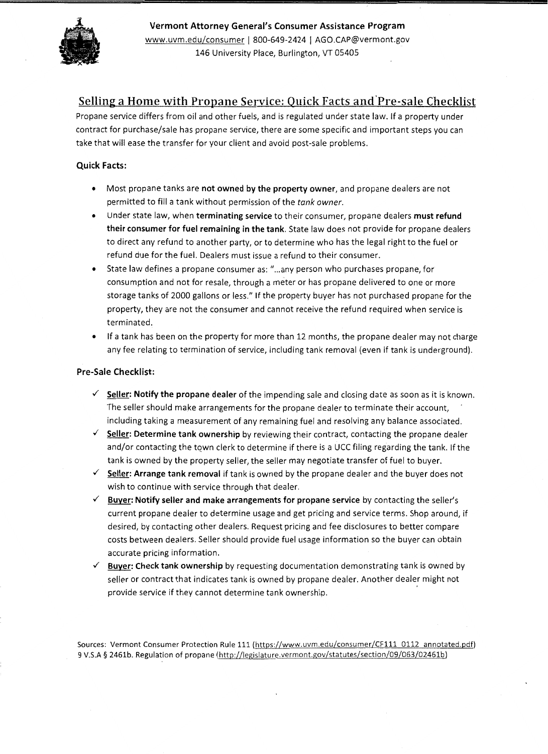

Vermont Attorney General's Consumer Assistance Program www.uvm.edu/consumer I 800-649-2424 I AGO.CAP@vermont.gov 146 University Place, Burlington, VT 05405

## Selling a Home with Propane Service: Quick Facts and Pre-sale Checklist

Propane service differs from oil and other fuels, and is regulated under state law. If a property under contract for purchase/sale has propane service, there are some specific and important steps you can take that will ease the transfer for your client and avoid post-sale problems.

#### Quick Facts:

- Most propane tanks are not owned by the property owner, and propane dealers are not permitted to fill a tank without permission of the *tank owner.*
- Under state law, when terminating service to their consumer, propane dealers must refund their consumer for fuel remaining in the tank. State law does not provide for propane dealers to direct any refund to another party, or to determine who has the legal right to the fuel or refund due for the fuel. Dealers must issue a refund to their consumer.
- State law defines a propane consumer as: " ... any person who purchases propane, for consumption and not for resale, through a meter or has propane delivered to one or more storage tanks of 2000 gallons or less." If the property buyer has not purchased propane for the property, they are not the consumer and cannot receive the refund required when service is terminated.
- If a tank has been on the property for more than 12 months, the propane dealer may not charge any fee relating to termination of service, including tank removal (even if tank is underground).

#### Pre-Sale Checklist:

- $\checkmark$  Seller: Notify the propane dealer of the impending sale and closing date as soon as it is known. The seller should make arrangements for the propane dealer to terminate their account, including taking a measurement of any remaining fuel and resolving any balance associated .
- $\checkmark$  Seller: Determine tank ownership by reviewing their contract, contacting the propane dealer and/or contacting the town clerk to determine if there is a UCC filing regarding the tank. If the tank is owned by the property seller, the seller may negotiate transfer of fuel to buyer .
- $\checkmark$  Seller: Arrange tank removal if tank is owned by the propane dealer and the buyer does not wish to continue with service through that dealer.
- $\checkmark$  Buyer: Notify seller and make arrangements for propane service by contacting the seller's current propane dealer to determine usage and get pricing and service terms. Shop around, if desired, by contacting other dealers. Request pricing and fee disclosures to better compare costs between dealers. Seller should provide fuel usage information so the buyer can obtain accurate pricing information.
- $\checkmark$  Buyer: Check tank ownership by requesting documentation demonstrating tank is owned by seller or contract that indicates tank is owned by propane dealer. Another dealer might not provide service if they cannot determine tank ownership.

Sources: Vermont Consumer Protection Rule 111 (https://www.uvm.edu/consumer/CF111 0112 annotated.pdf) 9 V.S.A § 2461b. Regulation of propane (http://legislature.vermont.gov/statutes/section/09/063/02461b)